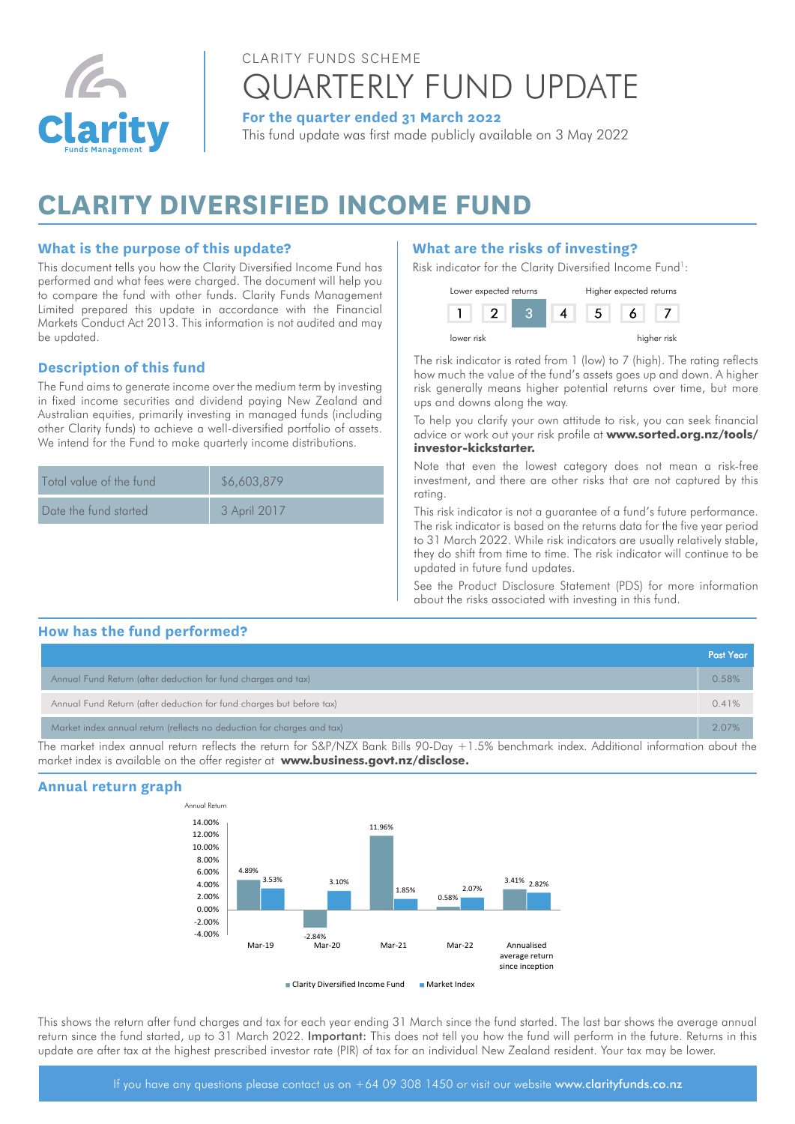

# CLARITY FUNDS SCHEME QUARTERLY FUND UPDATE

**For the quarter ended 31 March 2022**

This fund update was first made publicly available on 3 May 2022

# **CLARITY DIVERSIFIED INCOME FUND**

### **What is the purpose of this update?**

This document tells you how the Clarity Diversified Income Fund has performed and what fees were charged. The document will help you to compare the fund with other funds. Clarity Funds Management Limited prepared this update in accordance with the Financial Markets Conduct Act 2013. This information is not audited and may be updated.

### **Description of this fund**

The Fund aims to generate income over the medium term by investing  $\frac{1}{2}$ in fixed income securities and dividend paying New Zealand and Australian equities, primarily investing in managed funds (including other Clarity funds) to achieve a well-diversified portfolio of assets. We intend for the Fund to make quarterly income distributions.

| Total value of the fund | \$6,603,879  |
|-------------------------|--------------|
| Date the fund started   | 3 April 2017 |

# **What are the risks of investing?**

Risk indicator for the Clarity Diversified Income Fund<sup>1</sup>:



The risk indicator is rated from 1 (low) to 7 (high). The rating reflects how much the value of the fund's assets goes up and down. A higher risk generally means higher potential returns over time, but more ups and downs along the way.

To help you clarify your own attitude to risk, you can seek financial advice or work out your risk profile at **[www.sorted.org.nz/tools/](https://sorted.org.nz/tools/investor-kickstarter) [investor-kickstarter.](https://sorted.org.nz/tools/investor-kickstarter)**

Note that even the lowest category does not mean a risk-free investment, and there are other risks that are not captured by this rating.

This risk indicator is not a guarantee of a fund's future performance. The risk indicator is based on the returns data for the five year period to 31 March 2022. While risk indicators are usually relatively stable, they do shift from time to time. The risk indicator will continue to be updated in future fund updates.

See the Product Disclosure Statement (PDS) for more information about the risks associated with investing in this fund.

#### **How has the fund performed?** Clarity Diversified Income Fund

|                                                                                                                                           | <b>Past Year</b> |
|-------------------------------------------------------------------------------------------------------------------------------------------|------------------|
| Annual Fund Return (after deduction for fund charges and tax)                                                                             | 0.58%            |
| Annual Fund Return (after deduction for fund charges but before tax)                                                                      | 0.41%            |
| Market index annual return (reflects no deduction for charges and tax)                                                                    | 2.07%            |
| The market index appual return reflects the return for S&P/NIZX Rank Bills QQ Day +1.5% henchmark index. Additional information about the |                  |

The market index annual return reflects the return for S&P/NZX Bank Bills 90-Day +1.5% benchmark index. Additional information about the market index is available on the offer register at **[www.business.govt.nz/disclose.](https://disclose-register.companiesoffice.govt.nz/)**





This shows the return after fund charges and tax for each year ending 31 March since the fund started. The last bar shows the average annual return since the fund started, up to 31 March 2022. Important: This does not tell you how the fund will perform in the future. Returns in this update are after tax at the highest prescribed investor rate (PIR) of tax for an individual New Zealand resident. Your tax may be lower.